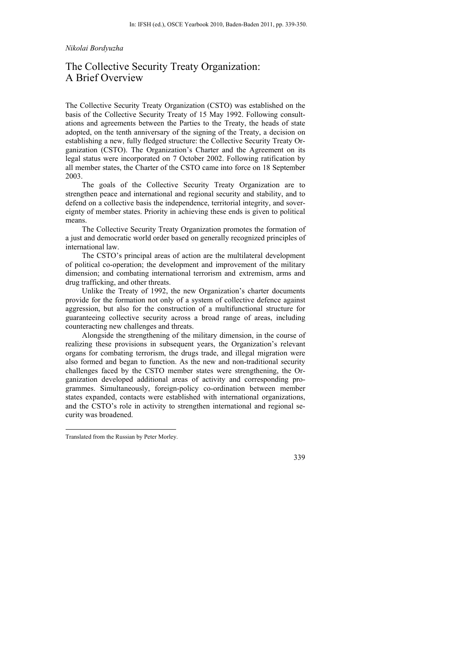## *Nikolai Bordyuzha*

# The Collective Security Treaty Organization: A Brief Overview

The Collective Security Treaty Organization (CSTO) was established on the basis of the Collective Security Treaty of 15 May 1992. Following consultations and agreements between the Parties to the Treaty, the heads of state adopted, on the tenth anniversary of the signing of the Treaty, a decision on establishing a new, fully fledged structure: the Collective Security Treaty Organization (CSTO). The Organization's Charter and the Agreement on its legal status were incorporated on 7 October 2002. Following ratification by all member states, the Charter of the CSTO came into force on 18 September 2003.

The goals of the Collective Security Treaty Organization are to strengthen peace and international and regional security and stability, and to defend on a collective basis the independence, territorial integrity, and sovereignty of member states. Priority in achieving these ends is given to political means.

The Collective Security Treaty Organization promotes the formation of a just and democratic world order based on generally recognized principles of international law.

The CSTO's principal areas of action are the multilateral development of political co-operation; the development and improvement of the military dimension; and combating international terrorism and extremism, arms and drug trafficking, and other threats.

Unlike the Treaty of 1992, the new Organization's charter documents provide for the formation not only of a system of collective defence against aggression, but also for the construction of a multifunctional structure for guaranteeing collective security across a broad range of areas, including counteracting new challenges and threats.

Alongside the strengthening of the military dimension, in the course of realizing these provisions in subsequent years, the Organization's relevant organs for combating terrorism, the drugs trade, and illegal migration were also formed and began to function. As the new and non-traditional security challenges faced by the CSTO member states were strengthening, the Organization developed additional areas of activity and corresponding programmes. Simultaneously, foreign-policy co-ordination between member states expanded, contacts were established with international organizations, and the CSTO's role in activity to strengthen international and regional security was broadened.

1

Translated from the Russian by Peter Morley.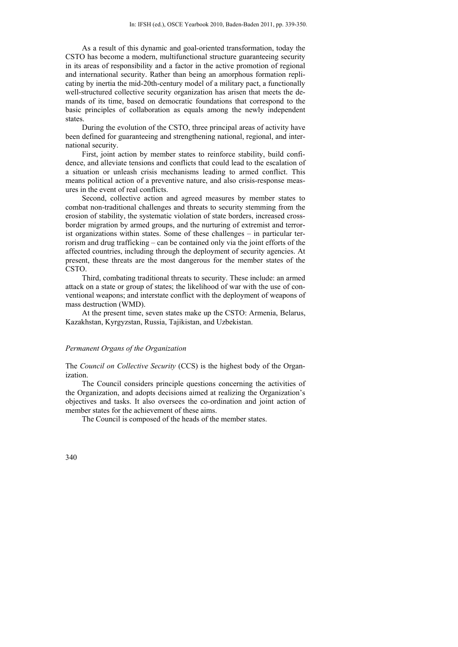As a result of this dynamic and goal-oriented transformation, today the CSTO has become a modern, multifunctional structure guaranteeing security in its areas of responsibility and a factor in the active promotion of regional and international security. Rather than being an amorphous formation replicating by inertia the mid-20th-century model of a military pact, a functionally well-structured collective security organization has arisen that meets the demands of its time, based on democratic foundations that correspond to the basic principles of collaboration as equals among the newly independent states.

During the evolution of the CSTO, three principal areas of activity have been defined for guaranteeing and strengthening national, regional, and international security.

First, joint action by member states to reinforce stability, build confidence, and alleviate tensions and conflicts that could lead to the escalation of a situation or unleash crisis mechanisms leading to armed conflict. This means political action of a preventive nature, and also crisis-response measures in the event of real conflicts.

Second, collective action and agreed measures by member states to combat non-traditional challenges and threats to security stemming from the erosion of stability, the systematic violation of state borders, increased crossborder migration by armed groups, and the nurturing of extremist and terrorist organizations within states. Some of these challenges – in particular terrorism and drug trafficking – can be contained only via the joint efforts of the affected countries, including through the deployment of security agencies. At present, these threats are the most dangerous for the member states of the CSTO.

Third, combating traditional threats to security. These include: an armed attack on a state or group of states; the likelihood of war with the use of conventional weapons; and interstate conflict with the deployment of weapons of mass destruction (WMD).

At the present time, seven states make up the CSTO: Armenia, Belarus, Kazakhstan, Kyrgyzstan, Russia, Tajikistan, and Uzbekistan.

# *Permanent Organs of the Organization*

The *Council on Collective Security* (CCS) is the highest body of the Organization.

The Council considers principle questions concerning the activities of the Organization, and adopts decisions aimed at realizing the Organization's objectives and tasks. It also oversees the co-ordination and joint action of member states for the achievement of these aims.

The Council is composed of the heads of the member states.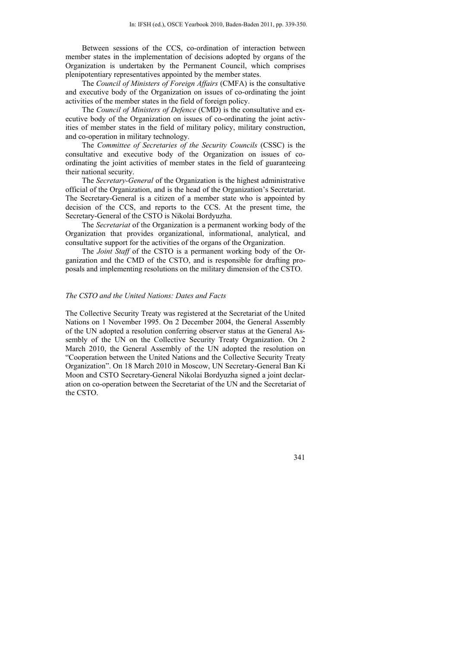Between sessions of the CCS, co-ordination of interaction between member states in the implementation of decisions adopted by organs of the Organization is undertaken by the Permanent Council, which comprises plenipotentiary representatives appointed by the member states.

The *Council of Ministers of Foreign Affairs* (CMFA) is the consultative and executive body of the Organization on issues of co-ordinating the joint activities of the member states in the field of foreign policy.

The *Council of Ministers of Defence* (CMD) is the consultative and executive body of the Organization on issues of co-ordinating the joint activities of member states in the field of military policy, military construction, and co-operation in military technology.

The *Committee of Secretaries of the Security Councils* (CSSC) is the consultative and executive body of the Organization on issues of coordinating the joint activities of member states in the field of guaranteeing their national security.

The *Secretary-General* of the Organization is the highest administrative official of the Organization, and is the head of the Organization's Secretariat. The Secretary-General is a citizen of a member state who is appointed by decision of the CCS, and reports to the CCS. At the present time, the Secretary-General of the CSTO is Nikolai Bordyuzha.

The *Secretariat* of the Organization is a permanent working body of the Organization that provides organizational, informational, analytical, and consultative support for the activities of the organs of the Organization.

The *Joint Staff* of the CSTO is a permanent working body of the Organization and the CMD of the CSTO, and is responsible for drafting proposals and implementing resolutions on the military dimension of the CSTO.

# *The CSTO and the United Nations: Dates and Facts*

The Collective Security Treaty was registered at the Secretariat of the United Nations on 1 November 1995. On 2 December 2004, the General Assembly of the UN adopted a resolution conferring observer status at the General Assembly of the UN on the Collective Security Treaty Organization. On 2 March 2010, the General Assembly of the UN adopted the resolution on "Cooperation between the United Nations and the Collective Security Treaty Organization". On 18 March 2010 in Moscow, UN Secretary-General Ban Ki Moon and CSTO Secretary-General Nikolai Bordyuzha signed a joint declaration on co-operation between the Secretariat of the UN and the Secretariat of the CSTO.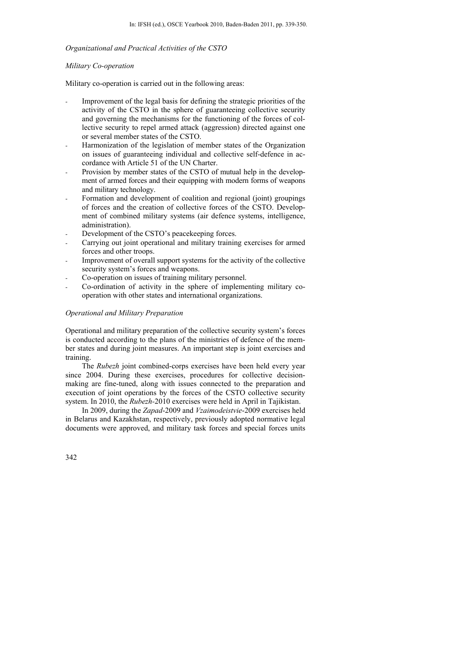# *Organizational and Practical Activities of the CSTO*

# *Military Co-operation*

Military co-operation is carried out in the following areas:

- Improvement of the legal basis for defining the strategic priorities of the activity of the CSTO in the sphere of guaranteeing collective security and governing the mechanisms for the functioning of the forces of collective security to repel armed attack (aggression) directed against one or several member states of the CSTO.
- Harmonization of the legislation of member states of the Organization on issues of guaranteeing individual and collective self-defence in accordance with Article 51 of the UN Charter.
- Provision by member states of the CSTO of mutual help in the development of armed forces and their equipping with modern forms of weapons and military technology.
- Formation and development of coalition and regional (joint) groupings of forces and the creation of collective forces of the CSTO. Development of combined military systems (air defence systems, intelligence, administration).
- Development of the CSTO's peacekeeping forces.
- Carrying out joint operational and military training exercises for armed forces and other troops.
- Improvement of overall support systems for the activity of the collective security system's forces and weapons.
- Co-operation on issues of training military personnel.
- Co-ordination of activity in the sphere of implementing military cooperation with other states and international organizations.

### *Operational and Military Preparation*

Operational and military preparation of the collective security system's forces is conducted according to the plans of the ministries of defence of the member states and during joint measures. An important step is joint exercises and training.

The *Rubezh* joint combined-corps exercises have been held every year since 2004. During these exercises, procedures for collective decisionmaking are fine-tuned, along with issues connected to the preparation and execution of joint operations by the forces of the CSTO collective security system. In 2010, the *Rubezh-*2010 exercises were held in April in Tajikistan.

In 2009, during the *Zapad*-2009 and *Vzaimodeistvie*-2009 exercises held in Belarus and Kazakhstan, respectively, previously adopted normative legal documents were approved, and military task forces and special forces units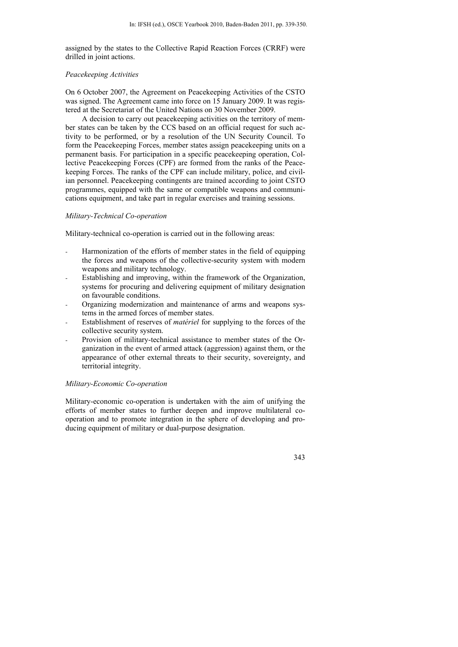assigned by the states to the Collective Rapid Reaction Forces (CRRF) were drilled in joint actions.

### *Peacekeeping Activities*

On 6 October 2007, the Agreement on Peacekeeping Activities of the CSTO was signed. The Agreement came into force on 15 January 2009. It was registered at the Secretariat of the United Nations on 30 November 2009.

A decision to carry out peacekeeping activities on the territory of member states can be taken by the CCS based on an official request for such activity to be performed, or by a resolution of the UN Security Council. To form the Peacekeeping Forces, member states assign peacekeeping units on a permanent basis. For participation in a specific peacekeeping operation, Collective Peacekeeping Forces (CPF) are formed from the ranks of the Peacekeeping Forces. The ranks of the CPF can include military, police, and civilian personnel. Peacekeeping contingents are trained according to joint CSTO programmes, equipped with the same or compatible weapons and communications equipment, and take part in regular exercises and training sessions.

# *Military-Technical Co-operation*

Military-technical co-operation is carried out in the following areas:

- Harmonization of the efforts of member states in the field of equipping the forces and weapons of the collective-security system with modern weapons and military technology.
- Establishing and improving, within the framework of the Organization, systems for procuring and delivering equipment of military designation on favourable conditions.
- Organizing modernization and maintenance of arms and weapons systems in the armed forces of member states.
- Establishment of reserves of *matériel* for supplying to the forces of the collective security system.
- Provision of military-technical assistance to member states of the Organization in the event of armed attack (aggression) against them, or the appearance of other external threats to their security, sovereignty, and territorial integrity.

# *Military-Economic Co-operation*

Military-economic co-operation is undertaken with the aim of unifying the efforts of member states to further deepen and improve multilateral cooperation and to promote integration in the sphere of developing and producing equipment of military or dual-purpose designation.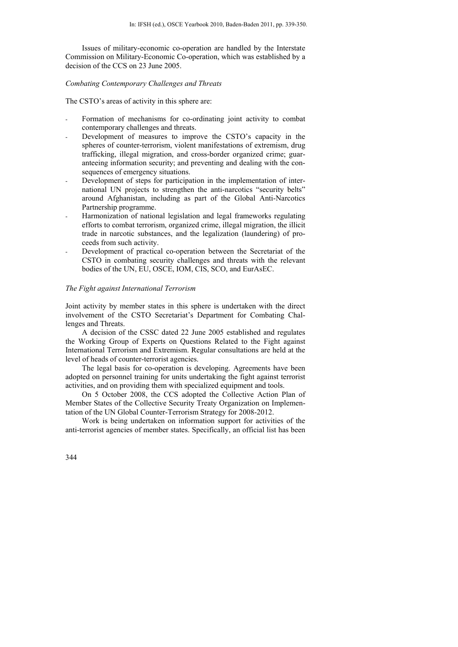Issues of military-economic co-operation are handled by the Interstate Commission on Military-Economic Co-operation, which was established by a decision of the CCS on 23 June 2005.

*Combating Contemporary Challenges and Threats* 

The CSTO's areas of activity in this sphere are:

- Formation of mechanisms for co-ordinating joint activity to combat contemporary challenges and threats.
- Development of measures to improve the CSTO's capacity in the spheres of counter-terrorism, violent manifestations of extremism, drug trafficking, illegal migration, and cross-border organized crime; guaranteeing information security; and preventing and dealing with the consequences of emergency situations.
- Development of steps for participation in the implementation of international UN projects to strengthen the anti-narcotics "security belts" around Afghanistan, including as part of the Global Anti-Narcotics Partnership programme.
- Harmonization of national legislation and legal frameworks regulating efforts to combat terrorism, organized crime, illegal migration, the illicit trade in narcotic substances, and the legalization (laundering) of proceeds from such activity.
- Development of practical co-operation between the Secretariat of the CSTO in combating security challenges and threats with the relevant bodies of the UN, EU, OSCE, IOM, CIS, SCO, and EurAsEC.

#### *The Fight against International Terrorism*

Joint activity by member states in this sphere is undertaken with the direct involvement of the CSTO Secretariat's Department for Combating Challenges and Threats.

A decision of the CSSC dated 22 June 2005 established and regulates the Working Group of Experts on Questions Related to the Fight against International Terrorism and Extremism. Regular consultations are held at the level of heads of counter-terrorist agencies.

The legal basis for co-operation is developing. Agreements have been adopted on personnel training for units undertaking the fight against terrorist activities, and on providing them with specialized equipment and tools.

On 5 October 2008, the CCS adopted the Collective Action Plan of Member States of the Collective Security Treaty Organization on Implementation of the UN Global Counter-Terrorism Strategy for 2008-2012.

Work is being undertaken on information support for activities of the anti-terrorist agencies of member states. Specifically, an official list has been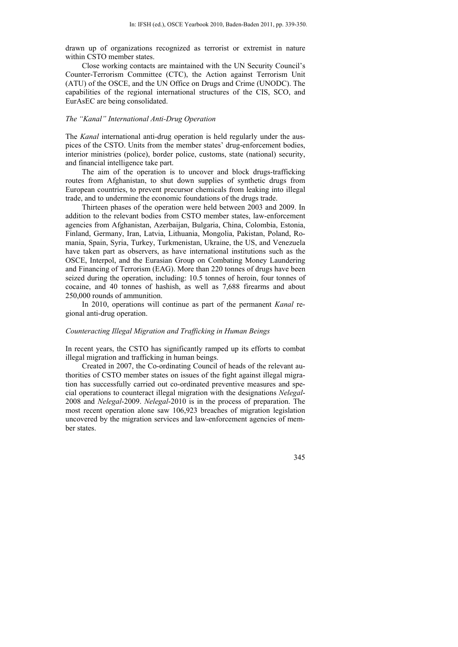drawn up of organizations recognized as terrorist or extremist in nature within CSTO member states.

Close working contacts are maintained with the UN Security Council's Counter-Terrorism Committee (CTC), the Action against Terrorism Unit (ATU) of the OSCE, and the UN Office on Drugs and Crime (UNODC). The capabilities of the regional international structures of the CIS, SCO, and EurAsEC are being consolidated.

#### *The "Kanal" International Anti-Drug Operation*

The *Kanal* international anti-drug operation is held regularly under the auspices of the CSTO. Units from the member states' drug-enforcement bodies, interior ministries (police), border police, customs, state (national) security, and financial intelligence take part.

The aim of the operation is to uncover and block drugs-trafficking routes from Afghanistan, to shut down supplies of synthetic drugs from European countries, to prevent precursor chemicals from leaking into illegal trade, and to undermine the economic foundations of the drugs trade.

Thirteen phases of the operation were held between 2003 and 2009. In addition to the relevant bodies from CSTO member states, law-enforcement agencies from Afghanistan, Azerbaijan, Bulgaria, China, Colombia, Estonia, Finland, Germany, Iran, Latvia, Lithuania, Mongolia, Pakistan, Poland, Romania, Spain, Syria, Turkey, Turkmenistan, Ukraine, the US, and Venezuela have taken part as observers, as have international institutions such as the OSCE, Interpol, and the Eurasian Group on Combating Money Laundering and Financing of Terrorism (EAG). More than 220 tonnes of drugs have been seized during the operation, including: 10.5 tonnes of heroin, four tonnes of cocaine, and 40 tonnes of hashish, as well as 7,688 firearms and about 250,000 rounds of ammunition.

In 2010, operations will continue as part of the permanent *Kanal* regional anti-drug operation.

# *Counteracting Illegal Migration and Trafficking in Human Beings*

In recent years, the CSTO has significantly ramped up its efforts to combat illegal migration and trafficking in human beings.

Created in 2007, the Co-ordinating Council of heads of the relevant authorities of CSTO member states on issues of the fight against illegal migration has successfully carried out co-ordinated preventive measures and special operations to counteract illegal migration with the designations *Nelegal*-2008 and *Nelegal*-2009. *Nelegal*-2010 is in the process of preparation. The most recent operation alone saw 106,923 breaches of migration legislation uncovered by the migration services and law-enforcement agencies of member states.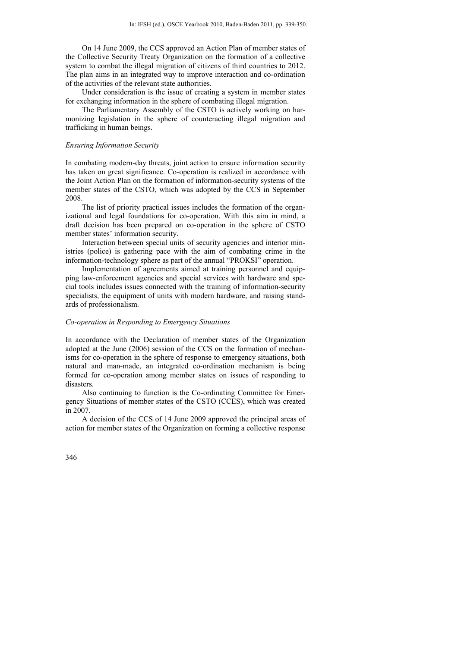On 14 June 2009, the CCS approved an Action Plan of member states of the Collective Security Treaty Organization on the formation of a collective system to combat the illegal migration of citizens of third countries to 2012. The plan aims in an integrated way to improve interaction and co-ordination of the activities of the relevant state authorities.

Under consideration is the issue of creating a system in member states for exchanging information in the sphere of combating illegal migration.

The Parliamentary Assembly of the CSTO is actively working on harmonizing legislation in the sphere of counteracting illegal migration and trafficking in human beings.

# *Ensuring Information Security*

In combating modern-day threats, joint action to ensure information security has taken on great significance. Co-operation is realized in accordance with the Joint Action Plan on the formation of information-security systems of the member states of the CSTO, which was adopted by the CCS in September 2008.

The list of priority practical issues includes the formation of the organizational and legal foundations for co-operation. With this aim in mind, a draft decision has been prepared on co-operation in the sphere of CSTO member states' information security.

Interaction between special units of security agencies and interior ministries (police) is gathering pace with the aim of combating crime in the information-technology sphere as part of the annual "PROKSI" operation.

Implementation of agreements aimed at training personnel and equipping law-enforcement agencies and special services with hardware and special tools includes issues connected with the training of information-security specialists, the equipment of units with modern hardware, and raising standards of professionalism.

#### *Co-operation in Responding to Emergency Situations*

In accordance with the Declaration of member states of the Organization adopted at the June (2006) session of the CCS on the formation of mechanisms for co-operation in the sphere of response to emergency situations, both natural and man-made, an integrated co-ordination mechanism is being formed for co-operation among member states on issues of responding to disasters.

Also continuing to function is the Co-ordinating Committee for Emergency Situations of member states of the CSTO (CCES), which was created in 2007.

A decision of the CCS of 14 June 2009 approved the principal areas of action for member states of the Organization on forming a collective response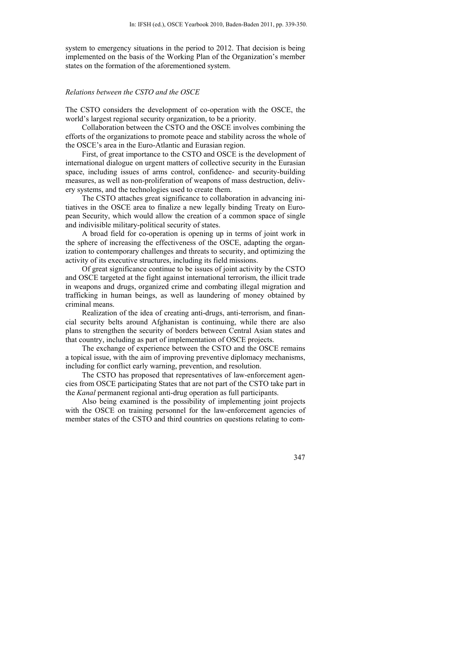system to emergency situations in the period to 2012. That decision is being implemented on the basis of the Working Plan of the Organization's member states on the formation of the aforementioned system.

#### *Relations between the CSTO and the OSCE*

The CSTO considers the development of co-operation with the OSCE, the world's largest regional security organization, to be a priority.

Collaboration between the CSTO and the OSCE involves combining the efforts of the organizations to promote peace and stability across the whole of the OSCE's area in the Euro-Atlantic and Eurasian region.

First, of great importance to the CSTO and OSCE is the development of international dialogue on urgent matters of collective security in the Eurasian space, including issues of arms control, confidence- and security-building measures, as well as non-proliferation of weapons of mass destruction, delivery systems, and the technologies used to create them.

The CSTO attaches great significance to collaboration in advancing initiatives in the OSCE area to finalize a new legally binding Treaty on European Security, which would allow the creation of a common space of single and indivisible military-political security of states.

A broad field for co-operation is opening up in terms of joint work in the sphere of increasing the effectiveness of the OSCE, adapting the organization to contemporary challenges and threats to security, and optimizing the activity of its executive structures, including its field missions.

Of great significance continue to be issues of joint activity by the CSTO and OSCE targeted at the fight against international terrorism, the illicit trade in weapons and drugs, organized crime and combating illegal migration and trafficking in human beings, as well as laundering of money obtained by criminal means.

Realization of the idea of creating anti-drugs, anti-terrorism, and financial security belts around Afghanistan is continuing, while there are also plans to strengthen the security of borders between Central Asian states and that country, including as part of implementation of OSCE projects.

The exchange of experience between the CSTO and the OSCE remains a topical issue, with the aim of improving preventive diplomacy mechanisms, including for conflict early warning, prevention, and resolution.

The CSTO has proposed that representatives of law-enforcement agencies from OSCE participating States that are not part of the CSTO take part in the *Kanal* permanent regional anti-drug operation as full participants.

Also being examined is the possibility of implementing joint projects with the OSCE on training personnel for the law-enforcement agencies of member states of the CSTO and third countries on questions relating to com-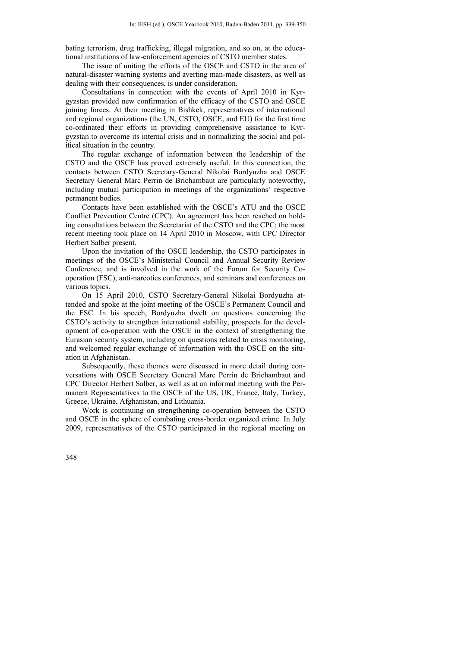bating terrorism, drug trafficking, illegal migration, and so on, at the educational institutions of law-enforcement agencies of CSTO member states.

The issue of uniting the efforts of the OSCE and CSTO in the area of natural-disaster warning systems and averting man-made disasters, as well as dealing with their consequences, is under consideration.

Consultations in connection with the events of April 2010 in Kyrgyzstan provided new confirmation of the efficacy of the CSTO and OSCE joining forces. At their meeting in Bishkek, representatives of international and regional organizations (the UN, CSTO, OSCE, and EU) for the first time co-ordinated their efforts in providing comprehensive assistance to Kyrgyzstan to overcome its internal crisis and in normalizing the social and political situation in the country.

The regular exchange of information between the leadership of the CSTO and the OSCE has proved extremely useful. In this connection, the contacts between CSTO Secretary-General Nikolai Bordyuzha and OSCE Secretary General Marc Perrin de Brichambaut are particularly noteworthy, including mutual participation in meetings of the organizations' respective permanent bodies.

Contacts have been established with the OSCE's ATU and the OSCE Conflict Prevention Centre (CPC). An agreement has been reached on holding consultations between the Secretariat of the CSTO and the CPC; the most recent meeting took place on 14 April 2010 in Moscow, with CPC Director Herbert Salber present.

Upon the invitation of the OSCE leadership, the CSTO participates in meetings of the OSCE's Ministerial Council and Annual Security Review Conference, and is involved in the work of the Forum for Security Cooperation (FSC), anti-narcotics conferences, and seminars and conferences on various topics.

On 15 April 2010, CSTO Secretary-General Nikolai Bordyuzha attended and spoke at the joint meeting of the OSCE's Permanent Council and the FSC. In his speech, Bordyuzha dwelt on questions concerning the CSTO's activity to strengthen international stability, prospects for the development of co-operation with the OSCE in the context of strengthening the Eurasian security system, including on questions related to crisis monitoring, and welcomed regular exchange of information with the OSCE on the situation in Afghanistan.

Subsequently, these themes were discussed in more detail during conversations with OSCE Secretary General Marc Perrin de Brichambaut and CPC Director Herbert Salber, as well as at an informal meeting with the Permanent Representatives to the OSCE of the US, UK, France, Italy, Turkey, Greece, Ukraine, Afghanistan, and Lithuania.

Work is continuing on strengthening co-operation between the CSTO and OSCE in the sphere of combating cross-border organized crime. In July 2009, representatives of the CSTO participated in the regional meeting on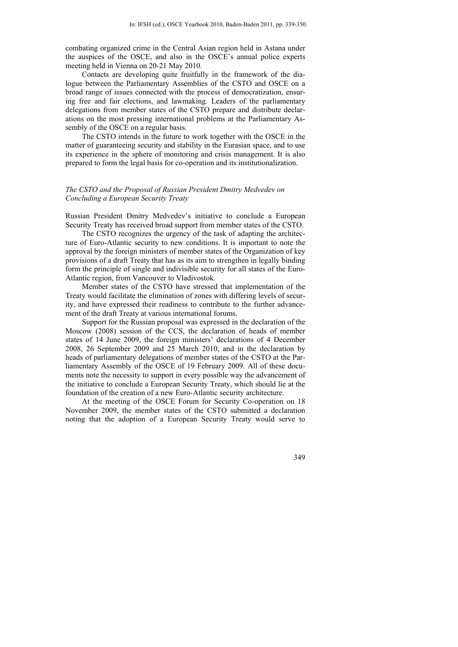combating organized crime in the Central Asian region held in Astana under the auspices of the OSCE, and also in the OSCE's annual police experts meeting held in Vienna on 20-21 May 2010.

Contacts are developing quite fruitfully in the framework of the dialogue between the Parliamentary Assemblies of the CSTO and OSCE on a broad range of issues connected with the process of democratization, ensuring free and fair elections, and lawmaking. Leaders of the parliamentary delegations from member states of the CSTO prepare and distribute declarations on the most pressing international problems at the Parliamentary Assembly of the OSCE on a regular basis.

The CSTO intends in the future to work together with the OSCE in the matter of guaranteeing security and stability in the Eurasian space, and to use its experience in the sphere of monitoring and crisis management. It is also prepared to form the legal basis for co-operation and its institutionalization.

# *The CSTO and the Proposal of Russian President Dmitry Medvedev on Concluding a European Security Treaty*

Russian President Dmitry Medvedev's initiative to conclude a European Security Treaty has received broad support from member states of the CSTO.

The CSTO recognizes the urgency of the task of adapting the architecture of Euro-Atlantic security to new conditions. It is important to note the approval by the foreign ministers of member states of the Organization of key provisions of a draft Treaty that has as its aim to strengthen in legally binding form the principle of single and indivisible security for all states of the Euro-Atlantic region, from Vancouver to Vladivostok.

Member states of the CSTO have stressed that implementation of the Treaty would facilitate the elimination of zones with differing levels of security, and have expressed their readiness to contribute to the further advancement of the draft Treaty at various international forums.

Support for the Russian proposal was expressed in the declaration of the Moscow (2008) session of the CCS, the declaration of heads of member states of 14 June 2009, the foreign ministers' declarations of 4 December 2008, 26 September 2009 and 25 March 2010, and in the declaration by heads of parliamentary delegations of member states of the CSTO at the Parliamentary Assembly of the OSCE of 19 February 2009. All of these documents note the necessity to support in every possible way the advancement of the initiative to conclude a European Security Treaty, which should lie at the foundation of the creation of a new Euro-Atlantic security architecture.

At the meeting of the OSCE Forum for Security Co-operation on 18 November 2009, the member states of the CSTO submitted a declaration noting that the adoption of a European Security Treaty would serve to